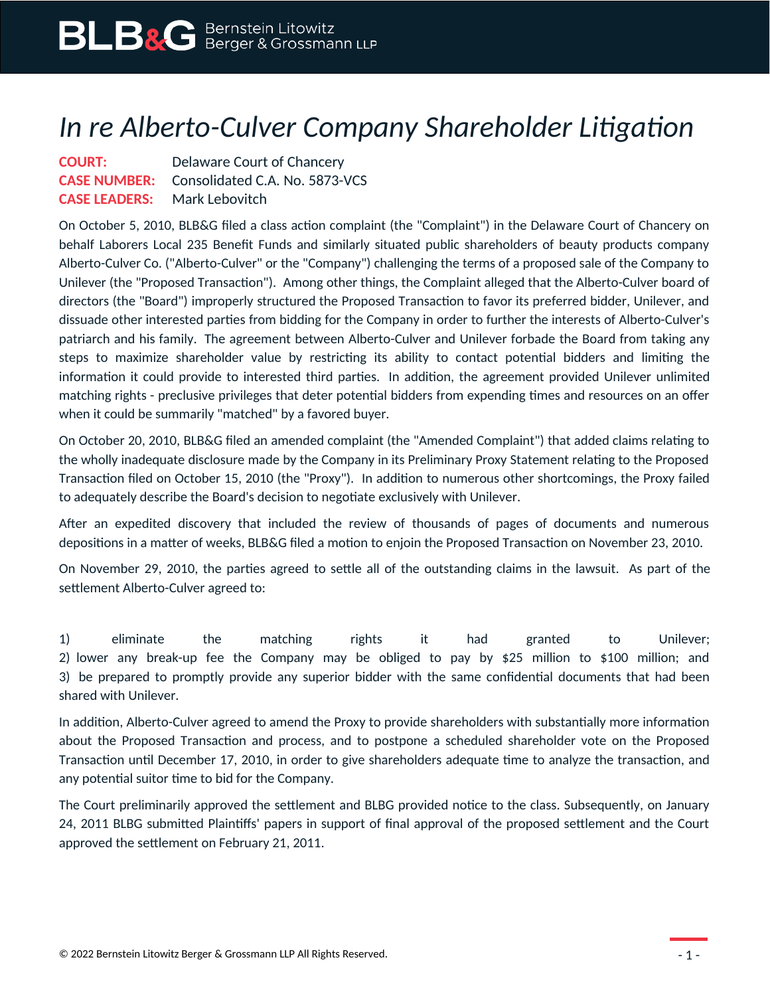## *In re Alberto-Culver Company Shareholder Litigation*

**COURT:** Delaware Court of Chancery **CASE NUMBER:** Consolidated C.A. No. 5873-VCS **CASE LEADERS:** Mark Lebovitch

On October 5, 2010, BLB&G filed a class action complaint (the "Complaint") in the Delaware Court of Chancery on behalf Laborers Local 235 Benefit Funds and similarly situated public shareholders of beauty products company Alberto-Culver Co. ("Alberto-Culver" or the "Company") challenging the terms of a proposed sale of the Company to Unilever (the "Proposed Transaction"). Among other things, the Complaint alleged that the Alberto-Culver board of directors (the "Board") improperly structured the Proposed Transaction to favor its preferred bidder, Unilever, and dissuade other interested parties from bidding for the Company in order to further the interests of Alberto-Culver's patriarch and his family. The agreement between Alberto-Culver and Unilever forbade the Board from taking any steps to maximize shareholder value by restricting its ability to contact potential bidders and limiting the information it could provide to interested third parties. In addition, the agreement provided Unilever unlimited matching rights - preclusive privileges that deter potential bidders from expending times and resources on an offer when it could be summarily "matched" by a favored buyer.

On October 20, 2010, BLB&G filed an amended complaint (the "Amended Complaint") that added claims relating to the wholly inadequate disclosure made by the Company in its Preliminary Proxy Statement relating to the Proposed Transaction filed on October 15, 2010 (the "Proxy"). In addition to numerous other shortcomings, the Proxy failed to adequately describe the Board's decision to negotiate exclusively with Unilever.

After an expedited discovery that included the review of thousands of pages of documents and numerous depositions in a matter of weeks, BLB&G filed a motion to enjoin the Proposed Transaction on November 23, 2010.

On November 29, 2010, the parties agreed to settle all of the outstanding claims in the lawsuit. As part of the settlement Alberto-Culver agreed to:

1) eliminate the matching rights it had granted to Unilever; 2) lower any break-up fee the Company may be obliged to pay by \$25 million to \$100 million; and 3) be prepared to promptly provide any superior bidder with the same confidential documents that had been shared with Unilever.

In addition, Alberto-Culver agreed to amend the Proxy to provide shareholders with substantially more information about the Proposed Transaction and process, and to postpone a scheduled shareholder vote on the Proposed Transaction until December 17, 2010, in order to give shareholders adequate time to analyze the transaction, and any potential suitor time to bid for the Company.

The Court preliminarily approved the settlement and BLBG provided notice to the class. Subsequently, on January 24, 2011 BLBG submitted Plaintiffs' papers in support of final approval of the proposed settlement and the Court approved the settlement on February 21, 2011.